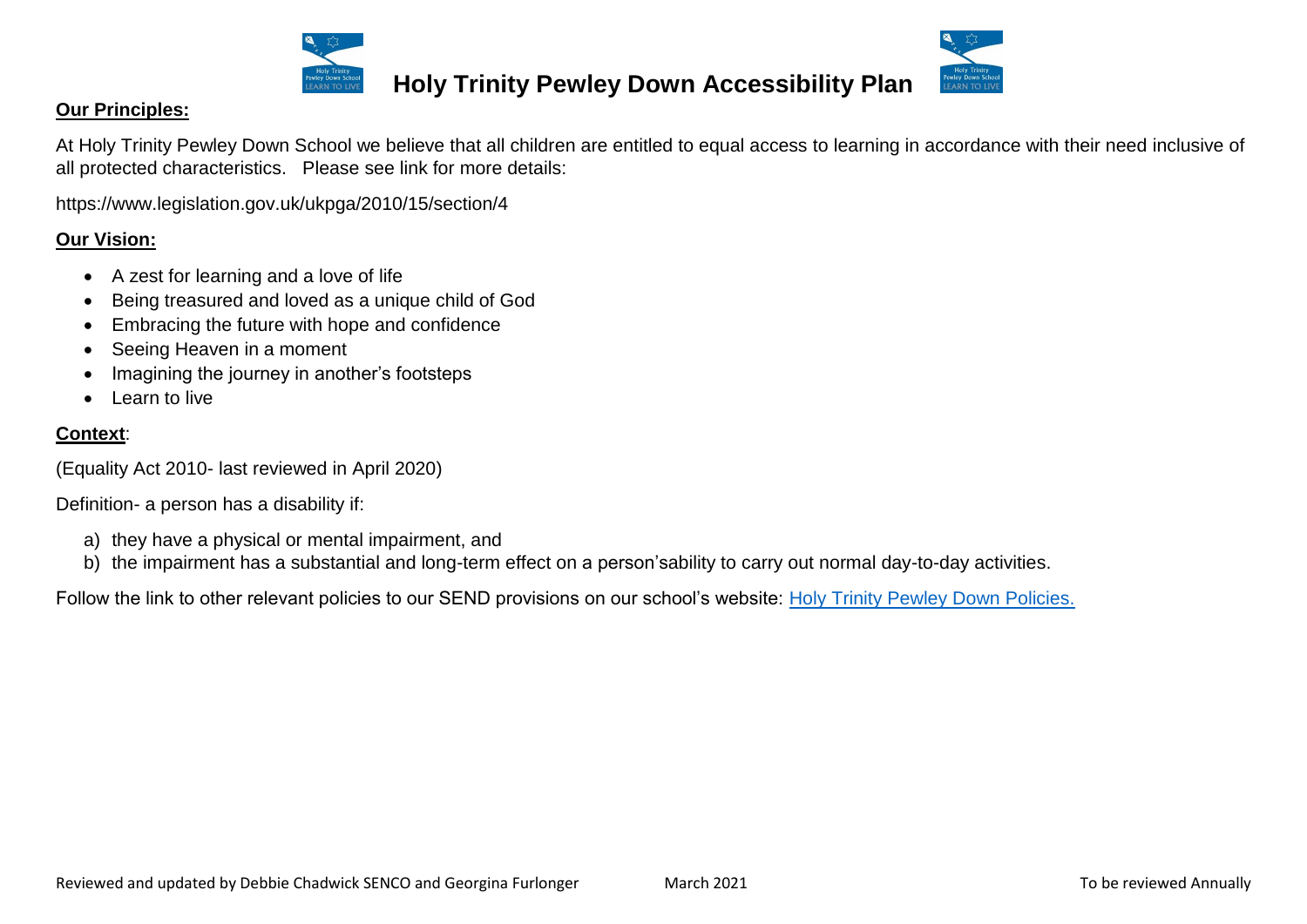



#### **Our Principles:**

At Holy Trinity Pewley Down School we believe that all children are entitled to equal access to learning in accordance with their need inclusive of all protected characteristics. Please see link for more details:

https://www.legislation.gov.uk/ukpga/2010/15/section/4

### **Our Vision:**

- A zest for learning and a love of life
- Being treasured and loved as a unique child of God
- Embracing the future with hope and confidence
- Seeing Heaven in a moment
- Imagining the journey in another's footsteps
- Learn to live

### **Context**:

(Equality Act 2010- last reviewed in April 2020)

Definition- a person has a disability if:

- a) they have a physical or mental impairment, and
- b) the impairment has a substantial and long-term effect on a person'sability to carry out normal day-to-day activities.

Follow the link to other relevant policies to our SEND provisions on our school's website: [Holy Trinity Pewley Down Policies.](http://www.holytrinity.surrey.sch.uk/The-School/Parents/SEND-Local-Offer.aspx)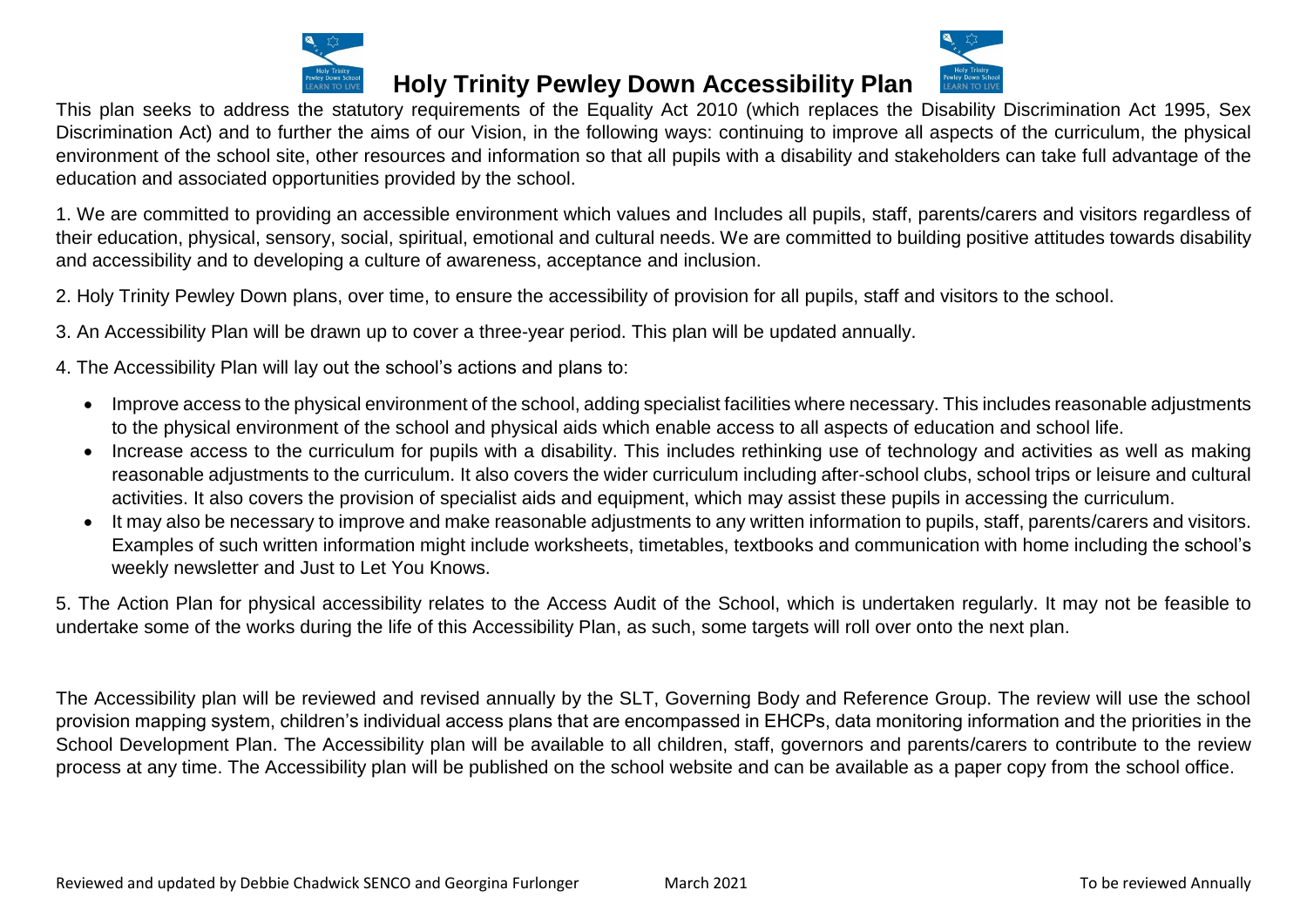



This plan seeks to address the statutory requirements of the Equality Act 2010 (which replaces the Disability Discrimination Act 1995, Sex Discrimination Act) and to further the aims of our Vision, in the following ways: continuing to improve all aspects of the curriculum, the physical environment of the school site, other resources and information so that all pupils with a disability and stakeholders can take full advantage of the education and associated opportunities provided by the school.

1. We are committed to providing an accessible environment which values and Includes all pupils, staff, parents/carers and visitors regardless of their education, physical, sensory, social, spiritual, emotional and cultural needs. We are committed to building positive attitudes towards disability and accessibility and to developing a culture of awareness, acceptance and inclusion.

2. Holy Trinity Pewley Down plans, over time, to ensure the accessibility of provision for all pupils, staff and visitors to the school.

3. An Accessibility Plan will be drawn up to cover a three-year period. This plan will be updated annually.

4. The Accessibility Plan will lay out the school's actions and plans to:

- Improve access to the physical environment of the school, adding specialist facilities where necessary. This includes reasonable adjustments to the physical environment of the school and physical aids which enable access to all aspects of education and school life.
- Increase access to the curriculum for pupils with a disability. This includes rethinking use of technology and activities as well as making reasonable adjustments to the curriculum. It also covers the wider curriculum including after-school clubs, school trips or leisure and cultural activities. It also covers the provision of specialist aids and equipment, which may assist these pupils in accessing the curriculum.
- It may also be necessary to improve and make reasonable adjustments to any written information to pupils, staff, parents/carers and visitors. Examples of such written information might include worksheets, timetables, textbooks and communication with home including the school's weekly newsletter and Just to Let You Knows.

5. The Action Plan for physical accessibility relates to the Access Audit of the School, which is undertaken regularly. It may not be feasible to undertake some of the works during the life of this Accessibility Plan, as such, some targets will roll over onto the next plan.

The Accessibility plan will be reviewed and revised annually by the SLT, Governing Body and Reference Group. The review will use the school provision mapping system, children's individual access plans that are encompassed in EHCPs, data monitoring information and the priorities in the School Development Plan. The Accessibility plan will be available to all children, staff, governors and parents/carers to contribute to the review process at any time. The Accessibility plan will be published on the school website and can be available as a paper copy from the school office.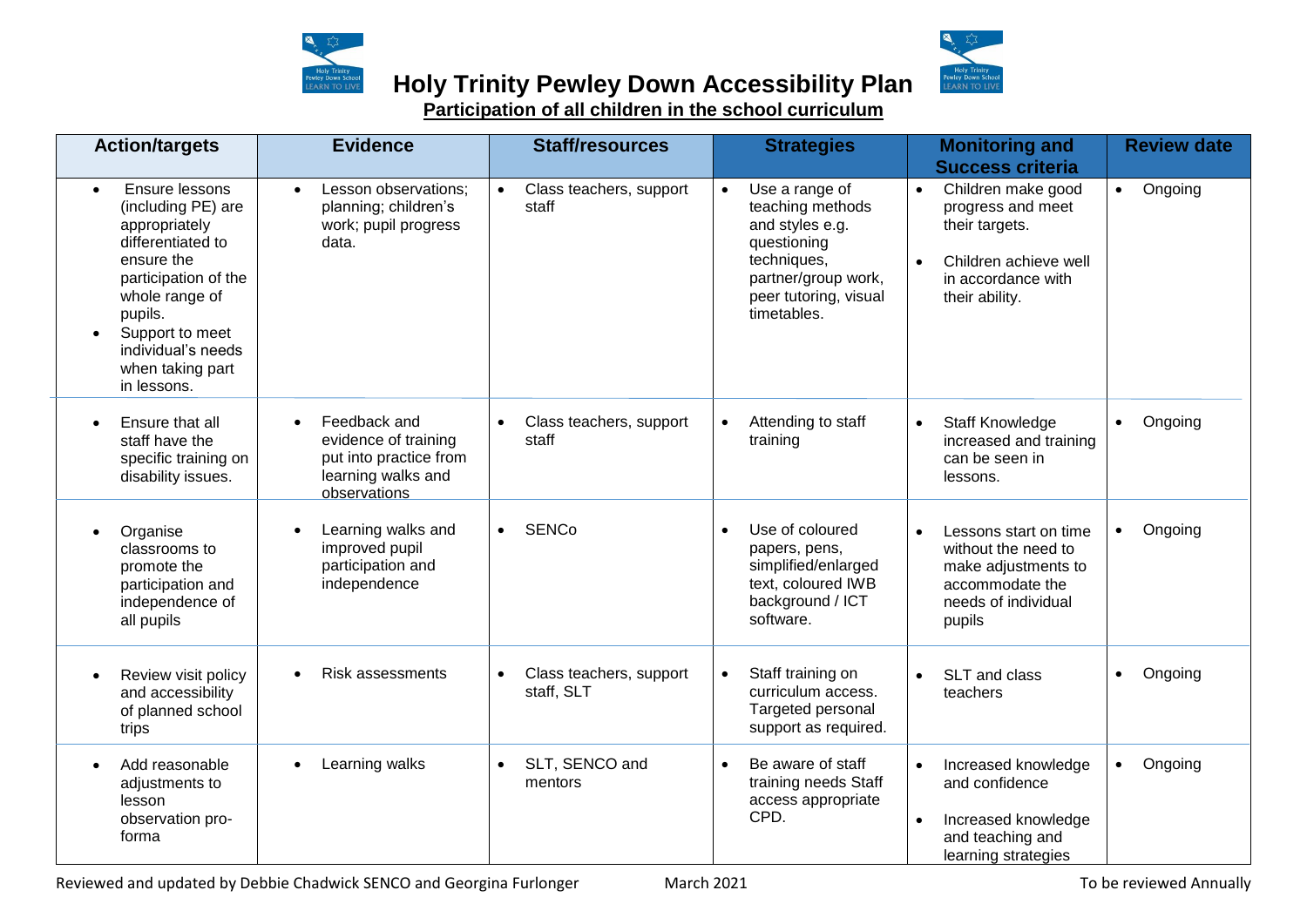

**Participation of all children in the school curriculum**

| <b>Action/targets</b>                                                                                                                                                                                                                  | <b>Evidence</b>                                                                                                   | <b>Staff/resources</b>                        | <b>Strategies</b><br><b>Monitoring and</b><br><b>Success criteria</b>                                                                                           |                                                                                                                                                      | <b>Review date</b>   |
|----------------------------------------------------------------------------------------------------------------------------------------------------------------------------------------------------------------------------------------|-------------------------------------------------------------------------------------------------------------------|-----------------------------------------------|-----------------------------------------------------------------------------------------------------------------------------------------------------------------|------------------------------------------------------------------------------------------------------------------------------------------------------|----------------------|
| Ensure lessons<br>$\bullet$<br>(including PE) are<br>appropriately<br>differentiated to<br>ensure the<br>participation of the<br>whole range of<br>pupils.<br>Support to meet<br>individual's needs<br>when taking part<br>in lessons. | Lesson observations;<br>$\bullet$<br>planning; children's<br>work; pupil progress<br>data.                        | Class teachers, support<br>$\bullet$<br>staff | Use a range of<br>$\bullet$<br>teaching methods<br>and styles e.g.<br>questioning<br>techniques,<br>partner/group work,<br>peer tutoring, visual<br>timetables. | Children make good<br>$\bullet$<br>progress and meet<br>their targets.<br>Children achieve well<br>$\bullet$<br>in accordance with<br>their ability. | • Ongoing            |
| Ensure that all<br>$\bullet$<br>staff have the<br>specific training on<br>disability issues.                                                                                                                                           | Feedback and<br>$\bullet$<br>evidence of training<br>put into practice from<br>learning walks and<br>observations | Class teachers, support<br>$\bullet$<br>staff | Attending to staff<br>training                                                                                                                                  | Staff Knowledge<br>$\bullet$<br>increased and training<br>can be seen in<br>lessons.                                                                 | Ongoing<br>$\bullet$ |
| Organise<br>$\bullet$<br>classrooms to<br>promote the<br>participation and<br>independence of<br>all pupils                                                                                                                            | Learning walks and<br>improved pupil<br>participation and<br>independence                                         | <b>SENCo</b><br>$\bullet$                     | Use of coloured<br>$\bullet$<br>papers, pens,<br>simplified/enlarged<br>text, coloured IWB<br>background / ICT<br>software.                                     | Lessons start on time<br>$\bullet$<br>without the need to<br>make adjustments to<br>accommodate the<br>needs of individual<br>pupils                 | Ongoing<br>$\bullet$ |
| Review visit policy<br>and accessibility<br>of planned school<br>trips                                                                                                                                                                 | <b>Risk assessments</b><br>$\bullet$                                                                              | Class teachers, support<br>staff, SLT         | Staff training on<br>curriculum access.<br>Targeted personal<br>support as required.                                                                            | SLT and class<br>teachers                                                                                                                            | Ongoing<br>$\bullet$ |
| Add reasonable<br>$\bullet$<br>adjustments to<br>lesson<br>observation pro-<br>forma                                                                                                                                                   | Learning walks                                                                                                    | SLT, SENCO and<br>$\bullet$<br>mentors        | Be aware of staff<br>$\bullet$<br>training needs Staff<br>access appropriate<br>CPD.                                                                            | Increased knowledge<br>and confidence<br>Increased knowledge<br>$\bullet$<br>and teaching and<br>learning strategies                                 | Ongoing<br>$\bullet$ |

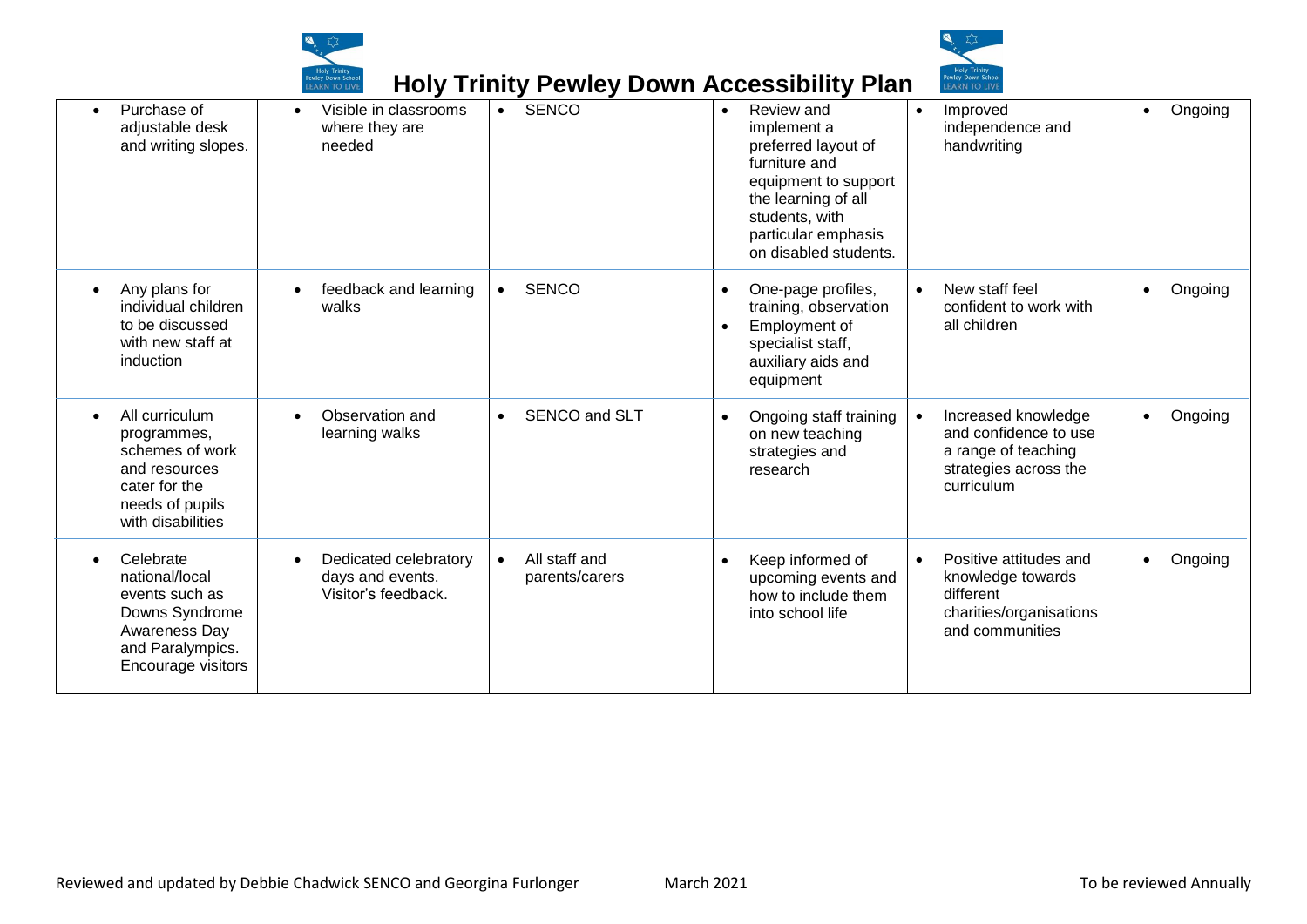



|                                                                                                                            | EAKN TU LIVI                                                                  | <b>TIOLY THIRLY FURNICY DOWN ACCUSSIBILITY FIGHT</b> |                                                                                                                                                                                                 |           | LARN IU LIVE                                                                                               |         |
|----------------------------------------------------------------------------------------------------------------------------|-------------------------------------------------------------------------------|------------------------------------------------------|-------------------------------------------------------------------------------------------------------------------------------------------------------------------------------------------------|-----------|------------------------------------------------------------------------------------------------------------|---------|
| Purchase of<br>adjustable desk<br>and writing slopes.                                                                      | Visible in classrooms<br>$\bullet$<br>where they are<br>needed                | <b>SENCO</b><br>$\bullet$                            | Review and<br>$\bullet$<br>implement a<br>preferred layout of<br>furniture and<br>equipment to support<br>the learning of all<br>students, with<br>particular emphasis<br>on disabled students. |           | Improved<br>independence and<br>handwriting                                                                | Ongoing |
| Any plans for<br>individual children<br>to be discussed<br>with new staff at<br>induction                                  | feedback and learning<br>walks                                                | <b>SENCO</b><br>$\bullet$                            | One-page profiles,<br>$\bullet$<br>training, observation<br>Employment of<br>specialist staff,<br>auxiliary aids and<br>equipment                                                               |           | New staff feel<br>confident to work with<br>all children                                                   | Ongoing |
| All curriculum<br>programmes,<br>schemes of work<br>and resources<br>cater for the<br>needs of pupils<br>with disabilities | Observation and<br>$\bullet$<br>learning walks                                | SENCO and SLT<br>$\bullet$                           | Ongoing staff training<br>$\bullet$<br>on new teaching<br>strategies and<br>research                                                                                                            |           | Increased knowledge<br>and confidence to use<br>a range of teaching<br>strategies across the<br>curriculum | Ongoing |
| Celebrate<br>national/local<br>events such as<br>Downs Syndrome<br>Awareness Day<br>and Paralympics.<br>Encourage visitors | Dedicated celebratory<br>$\bullet$<br>days and events.<br>Visitor's feedback. | All staff and<br>$\bullet$<br>parents/carers         | Keep informed of<br>$\bullet$<br>upcoming events and<br>how to include them<br>into school life                                                                                                 | $\bullet$ | Positive attitudes and<br>knowledge towards<br>different<br>charities/organisations<br>and communities     | Ongoing |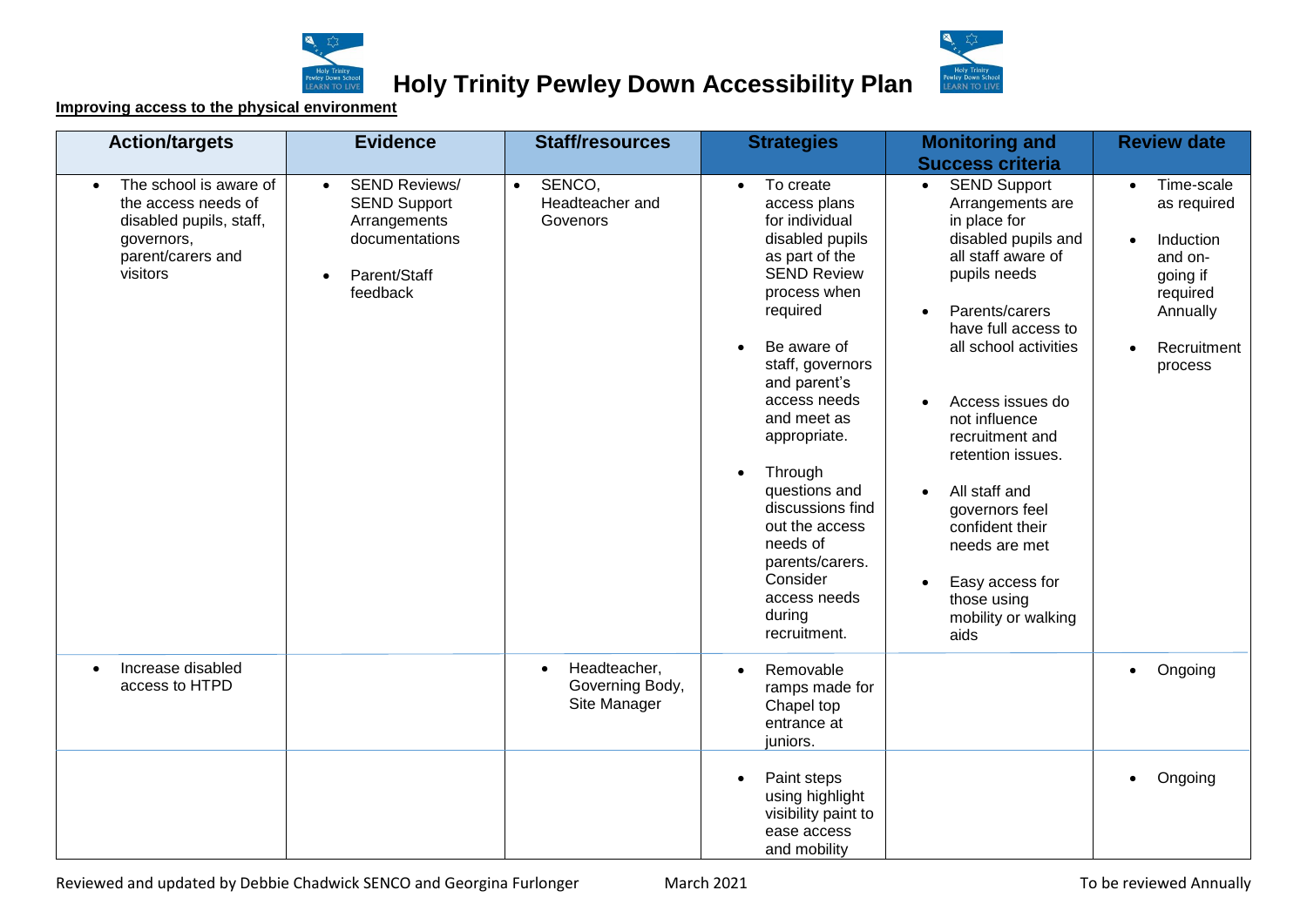



#### **Improving access to the physical environment**

| <b>Action/targets</b>                                                                                                                | <b>Evidence</b>                                                                                                                     | <b>Staff/resources</b>                                       | <b>Strategies</b>                                                                                                                                                                                                                                                                                                                                                                                                     | <b>Monitoring and</b>                                                                                                                                                                                                                                                                                                                                                                                                                                                                                   | <b>Review date</b>                                                                                                                                     |  |  |
|--------------------------------------------------------------------------------------------------------------------------------------|-------------------------------------------------------------------------------------------------------------------------------------|--------------------------------------------------------------|-----------------------------------------------------------------------------------------------------------------------------------------------------------------------------------------------------------------------------------------------------------------------------------------------------------------------------------------------------------------------------------------------------------------------|---------------------------------------------------------------------------------------------------------------------------------------------------------------------------------------------------------------------------------------------------------------------------------------------------------------------------------------------------------------------------------------------------------------------------------------------------------------------------------------------------------|--------------------------------------------------------------------------------------------------------------------------------------------------------|--|--|
| The school is aware of<br>$\bullet$<br>the access needs of<br>disabled pupils, staff,<br>governors,<br>parent/carers and<br>visitors | <b>SEND Reviews/</b><br>$\bullet$<br><b>SEND Support</b><br>Arrangements<br>documentations<br>Parent/Staff<br>$\bullet$<br>feedback | SENCO,<br>$\bullet$<br>Headteacher and<br>Govenors           | To create<br>$\bullet$<br>access plans<br>for individual<br>disabled pupils<br>as part of the<br><b>SEND Review</b><br>process when<br>required<br>Be aware of<br>staff, governors<br>and parent's<br>access needs<br>and meet as<br>appropriate.<br>Through<br>$\bullet$<br>questions and<br>discussions find<br>out the access<br>needs of<br>parents/carers.<br>Consider<br>access needs<br>during<br>recruitment. | <b>Success criteria</b><br><b>SEND Support</b><br>$\bullet$<br>Arrangements are<br>in place for<br>disabled pupils and<br>all staff aware of<br>pupils needs<br>Parents/carers<br>$\bullet$<br>have full access to<br>all school activities<br>Access issues do<br>$\bullet$<br>not influence<br>recruitment and<br>retention issues.<br>All staff and<br>$\bullet$<br>governors feel<br>confident their<br>needs are met<br>Easy access for<br>$\bullet$<br>those using<br>mobility or walking<br>aids | Time-scale<br>$\bullet$<br>as required<br>Induction<br>$\bullet$<br>and on-<br>going if<br>required<br>Annually<br>Recruitment<br>$\bullet$<br>process |  |  |
| Increase disabled<br>$\bullet$<br>access to HTPD                                                                                     |                                                                                                                                     | Headteacher,<br>$\bullet$<br>Governing Body,<br>Site Manager | Removable<br>$\bullet$<br>ramps made for<br>Chapel top<br>entrance at<br>juniors.                                                                                                                                                                                                                                                                                                                                     |                                                                                                                                                                                                                                                                                                                                                                                                                                                                                                         | Ongoing<br>$\bullet$                                                                                                                                   |  |  |
|                                                                                                                                      |                                                                                                                                     |                                                              | Paint steps<br>using highlight<br>visibility paint to<br>ease access<br>and mobility                                                                                                                                                                                                                                                                                                                                  |                                                                                                                                                                                                                                                                                                                                                                                                                                                                                                         | Ongoing<br>$\bullet$                                                                                                                                   |  |  |